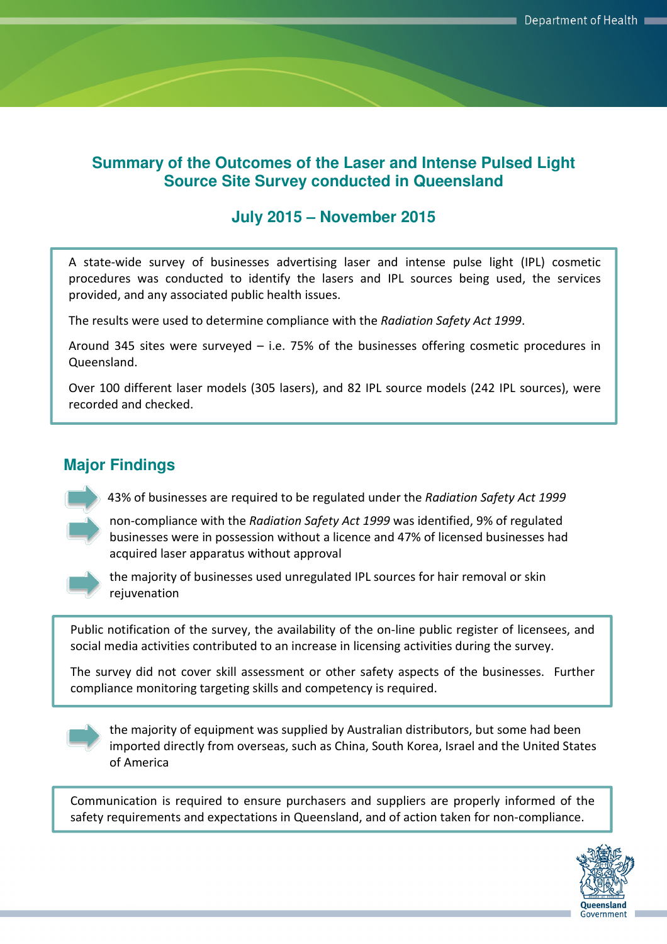### **Summary of the Outcomes of the Laser and Intense Pulsed Light Source Site Survey conducted in Queensland**

## **July 2015 – November 2015**

A state-wide survey of businesses advertising laser and intense pulse light (IPL) cosmetic procedures was conducted to identify the lasers and IPL sources being used, the services provided, and any associated public health issues.

The results were used to determine compliance with the Radiation Safety Act 1999.

Around 345 sites were surveyed – i.e. 75% of the businesses offering cosmetic procedures in Queensland.

Over 100 different laser models (305 lasers), and 82 IPL source models (242 IPL sources), were recorded and checked.

# **Major Findings**

43% of businesses are required to be regulated under the Radiation Safety Act 1999



non-compliance with the Radiation Safety Act 1999 was identified, 9% of regulated businesses were in possession without a licence and 47% of licensed businesses had acquired laser apparatus without approval



the majority of businesses used unregulated IPL sources for hair removal or skin rejuvenation

Public notification of the survey, the availability of the on-line public register of licensees, and social media activities contributed to an increase in licensing activities during the survey.

The survey did not cover skill assessment or other safety aspects of the businesses. Further compliance monitoring targeting skills and competency is required.



the majority of equipment was supplied by Australian distributors, but some had been imported directly from overseas, such as China, South Korea, Israel and the United States of America

Communication is required to ensure purchasers and suppliers are properly informed of the safety requirements and expectations in Queensland, and of action taken for non-compliance.

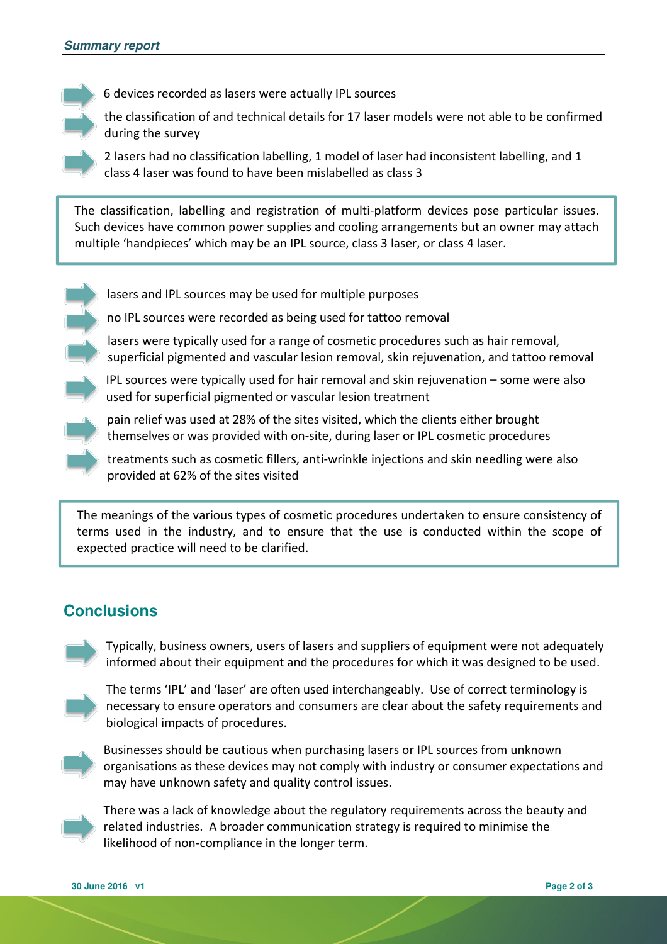6 devices recorded as lasers were actually IPL sources

the classification of and technical details for 17 laser models were not able to be confirmed during the survey

2 lasers had no classification labelling, 1 model of laser had inconsistent labelling, and 1 class 4 laser was found to have been mislabelled as class 3

The classification, labelling and registration of multi-platform devices pose particular issues. Such devices have common power supplies and cooling arrangements but an owner may attach multiple 'handpieces' which may be an IPL source, class 3 laser, or class 4 laser.

- lasers and IPL sources may be used for multiple purposes
- no IPL sources were recorded as being used for tattoo removal
- lasers were typically used for a range of cosmetic procedures such as hair removal, superficial pigmented and vascular lesion removal, skin rejuvenation, and tattoo removal
- IPL sources were typically used for hair removal and skin rejuvenation some were also used for superficial pigmented or vascular lesion treatment
- pain relief was used at 28% of the sites visited, which the clients either brought themselves or was provided with on-site, during laser or IPL cosmetic procedures
- treatments such as cosmetic fillers, anti-wrinkle injections and skin needling were also provided at 62% of the sites visited

The meanings of the various types of cosmetic procedures undertaken to ensure consistency of terms used in the industry, and to ensure that the use is conducted within the scope of expected practice will need to be clarified.

### **Conclusions**



Typically, business owners, users of lasers and suppliers of equipment were not adequately informed about their equipment and the procedures for which it was designed to be used.



The terms 'IPL' and 'laser' are often used interchangeably. Use of correct terminology is necessary to ensure operators and consumers are clear about the safety requirements and biological impacts of procedures.



Businesses should be cautious when purchasing lasers or IPL sources from unknown organisations as these devices may not comply with industry or consumer expectations and may have unknown safety and quality control issues.



There was a lack of knowledge about the regulatory requirements across the beauty and related industries. A broader communication strategy is required to minimise the likelihood of non-compliance in the longer term.